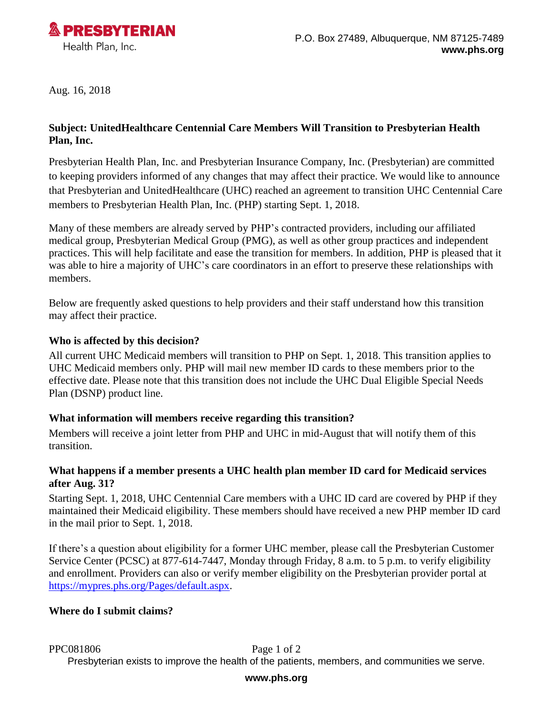

Aug. 16, 2018

### **Subject: UnitedHealthcare Centennial Care Members Will Transition to Presbyterian Health Plan, Inc.**

Presbyterian Health Plan, Inc. and Presbyterian Insurance Company, Inc. (Presbyterian) are committed to keeping providers informed of any changes that may affect their practice. We would like to announce that Presbyterian and UnitedHealthcare (UHC) reached an agreement to transition UHC Centennial Care members to Presbyterian Health Plan, Inc. (PHP) starting Sept. 1, 2018.

Many of these members are already served by PHP's contracted providers, including our affiliated medical group, Presbyterian Medical Group (PMG), as well as other group practices and independent practices. This will help facilitate and ease the transition for members. In addition, PHP is pleased that it was able to hire a majority of UHC's care coordinators in an effort to preserve these relationships with members.

Below are frequently asked questions to help providers and their staff understand how this transition may affect their practice.

### **Who is affected by this decision?**

All current UHC Medicaid members will transition to PHP on Sept. 1, 2018. This transition applies to UHC Medicaid members only. PHP will mail new member ID cards to these members prior to the effective date. Please note that this transition does not include the UHC Dual Eligible Special Needs Plan (DSNP) product line.

#### **What information will members receive regarding this transition?**

Members will receive a joint letter from PHP and UHC in mid-August that will notify them of this transition.

### **What happens if a member presents a UHC health plan member ID card for Medicaid services after Aug. 31?**

Starting Sept. 1, 2018, UHC Centennial Care members with a UHC ID card are covered by PHP if they maintained their Medicaid eligibility. These members should have received a new PHP member ID card in the mail prior to Sept. 1, 2018.

If there's a question about eligibility for a former UHC member, please call the Presbyterian Customer Service Center (PCSC) at 877-614-7447, Monday through Friday, 8 a.m. to 5 p.m. to verify eligibility and enrollment. Providers can also or verify member eligibility on the Presbyterian provider portal at [https://mypres.phs.org/Pages/default.aspx.](https://mypres.phs.org/Pages/default.aspx)

### **Where do I submit claims?**

PPC081806 Page 1 of 2

Presbyterian exists to improve the health of the patients, members, and communities we serve.

#### **www.phs.org**